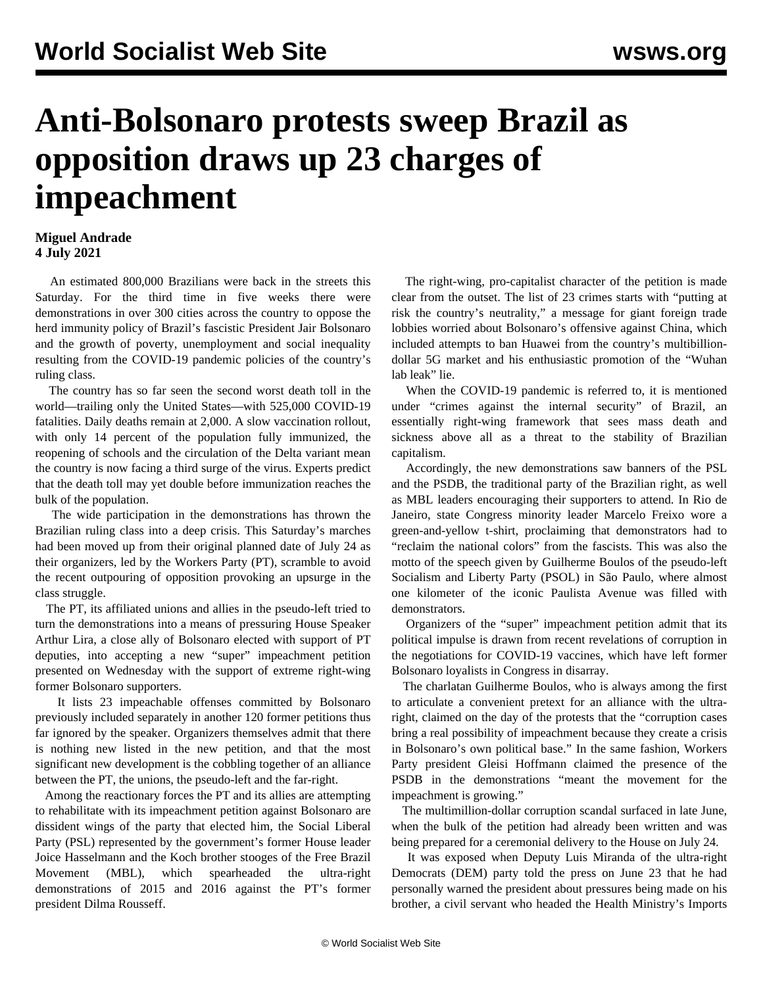## **Anti-Bolsonaro protests sweep Brazil as opposition draws up 23 charges of impeachment**

## **Miguel Andrade 4 July 2021**

 An estimated 800,000 Brazilians were back in the streets this Saturday. For the third time in five weeks there were demonstrations in over 300 cities across the country to oppose the herd immunity policy of Brazil's fascistic President Jair Bolsonaro and the growth of poverty, unemployment and social inequality resulting from the COVID-19 pandemic policies of the country's ruling class.

 The country has so far seen the second worst death toll in the world—trailing only the United States—with 525,000 COVID-19 fatalities. Daily deaths remain at 2,000. A slow vaccination rollout, with only 14 percent of the population fully immunized, the reopening of schools and the circulation of the Delta variant mean the country is now facing a third surge of the virus. Experts predict that the death toll may yet double before immunization reaches the bulk of the population.

 The wide participation in the demonstrations has thrown the Brazilian ruling class into a deep crisis. This Saturday's marches had been moved up from their original planned date of July 24 as their organizers, led by the Workers Party (PT), scramble to avoid the recent outpouring of opposition provoking an upsurge in the class struggle.

 The PT, its affiliated unions and allies in the pseudo-left tried to turn the demonstrations into a means of pressuring House Speaker Arthur Lira, a close ally of Bolsonaro elected with support of PT deputies, into accepting a new "super" impeachment petition presented on Wednesday with the support of extreme right-wing former Bolsonaro supporters.

 It lists 23 impeachable offenses committed by Bolsonaro previously included separately in another 120 former petitions thus far ignored by the speaker. Organizers themselves admit that there is nothing new listed in the new petition, and that the most significant new development is the cobbling together of an alliance between the PT, the unions, the pseudo-left and the far-right.

 Among the reactionary forces the PT and its allies are attempting to rehabilitate with its impeachment petition against Bolsonaro are dissident wings of the party that elected him, the Social Liberal Party (PSL) represented by the government's former House leader Joice Hasselmann and the Koch brother stooges of the Free Brazil Movement (MBL), which spearheaded the ultra-right demonstrations of 2015 and 2016 against the PT's former president Dilma Rousseff.

 The right-wing, pro-capitalist character of the petition is made clear from the outset. The list of 23 crimes starts with "putting at risk the country's neutrality," a message for giant foreign trade lobbies worried about Bolsonaro's offensive against China, which included attempts to ban Huawei from the country's multibilliondollar 5G market and his enthusiastic promotion of the "Wuhan lab leak" lie.

 When the COVID-19 pandemic is referred to, it is mentioned under "crimes against the internal security" of Brazil, an essentially right-wing framework that sees mass death and sickness above all as a threat to the stability of Brazilian capitalism.

 Accordingly, the new demonstrations saw banners of the PSL and the PSDB, the traditional party of the Brazilian right, as well as MBL leaders encouraging their supporters to attend. In Rio de Janeiro, state Congress minority leader Marcelo Freixo wore a green-and-yellow t-shirt, proclaiming that demonstrators had to "reclaim the national colors" from the fascists. This was also the motto of the speech given by Guilherme Boulos of the pseudo-left Socialism and Liberty Party (PSOL) in São Paulo, where almost one kilometer of the iconic Paulista Avenue was filled with demonstrators.

 Organizers of the "super" impeachment petition admit that its political impulse is drawn from recent revelations of corruption in the negotiations for COVID-19 vaccines, which have left former Bolsonaro loyalists in Congress in disarray.

 The charlatan Guilherme Boulos, who is always among the first to articulate a convenient pretext for an alliance with the ultraright, claimed on the day of the protests that the "corruption cases bring a real possibility of impeachment because they create a crisis in Bolsonaro's own political base." In the same fashion, Workers Party president Gleisi Hoffmann claimed the presence of the PSDB in the demonstrations "meant the movement for the impeachment is growing."

 The multimillion-dollar corruption scandal surfaced in late June, when the bulk of the petition had already been written and was being prepared for a ceremonial delivery to the House on July 24.

 It was exposed when Deputy Luis Miranda of the ultra-right Democrats (DEM) party told the press on June 23 that he had personally warned the president about pressures being made on his brother, a civil servant who headed the Health Ministry's Imports